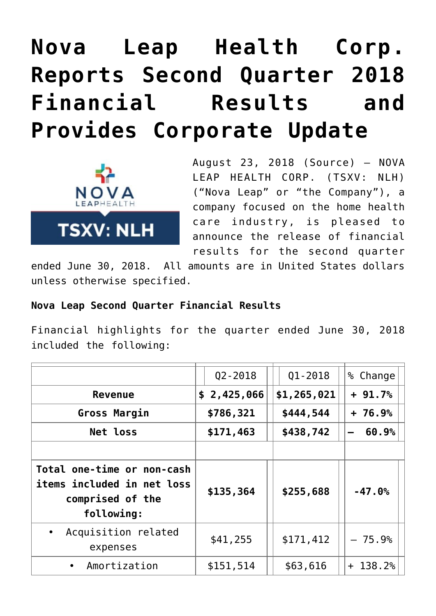# **[Nova Leap Health Corp.](https://investorintel.com/markets/biotech-healthcare/biotech-news/nova-leap-health-corp-reports-second-quarter-2018-financial-results-provides-corporate-update/) [Reports Second Quarter 2018](https://investorintel.com/markets/biotech-healthcare/biotech-news/nova-leap-health-corp-reports-second-quarter-2018-financial-results-provides-corporate-update/) [Financial Results and](https://investorintel.com/markets/biotech-healthcare/biotech-news/nova-leap-health-corp-reports-second-quarter-2018-financial-results-provides-corporate-update/) [Provides Corporate Update](https://investorintel.com/markets/biotech-healthcare/biotech-news/nova-leap-health-corp-reports-second-quarter-2018-financial-results-provides-corporate-update/)**



August 23, 2018 ([Source](https://investorintel.com/iintel-members/nova-leap-health-corp/)) — NOVA LEAP HEALTH CORP. (TSXV: NLH) ("Nova Leap" or "the Company"), a company focused on the home health care industry, is pleased to announce the release of financial results for the second quarter

ended June 30, 2018. All amounts are in United States dollars unless otherwise specified.

### **Nova Leap Second Quarter Financial Results**

Financial highlights for the quarter ended June 30, 2018 included the following:

|                                                                                            | $Q2 - 2018$ | $Q1 - 2018$ | % Change  |
|--------------------------------------------------------------------------------------------|-------------|-------------|-----------|
| <b>Revenue</b>                                                                             | \$2,425,066 | \$1,265,021 | $+91.7%$  |
| Gross Margin                                                                               | \$786,321   | \$444,544   | $+76.9%$  |
| <b>Net loss</b>                                                                            | \$171,463   | \$438,742   | 60.9%     |
|                                                                                            |             |             |           |
| Total one-time or non-cash<br>items included in net loss<br>comprised of the<br>following: | \$135,364   | \$255,688   | $-47.0%$  |
| Acquisition related<br>expenses                                                            | \$41,255    | \$171,412   | $-75.9%$  |
| Amortization                                                                               | \$151,514   | \$63,616    | $+138.2%$ |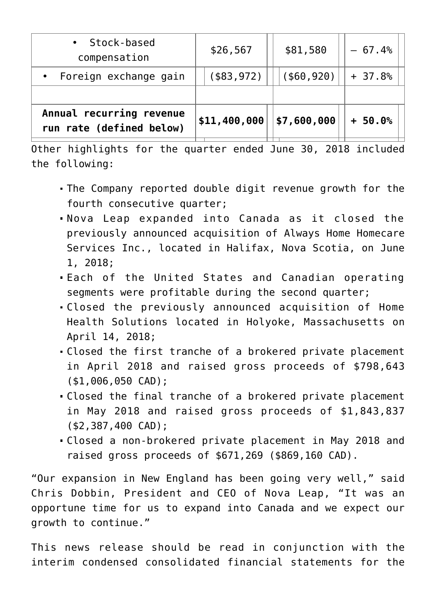| · Stock-based<br>compensation                        | \$26,567      | \$81,580       | $-67.4%$ |
|------------------------------------------------------|---------------|----------------|----------|
| • Foreign exchange gain                              | $($ \$83,972) | $($ \$60, 920) | $+37.8%$ |
|                                                      |               |                |          |
| Annual recurring revenue<br>run rate (defined below) | \$11,400,000  | \$7,600,000    | $+50.0%$ |

Other highlights for the quarter ended June 30, 2018 included the following:

- The Company reported double digit revenue growth for the fourth consecutive quarter;
- Nova Leap expanded into Canada as it closed the previously announced acquisition of Always Home Homecare Services Inc., located in Halifax, Nova Scotia, on June 1, 2018;
- Each of the United States and Canadian operating segments were profitable during the second quarter;
- Closed the previously announced acquisition of Home Health Solutions located in Holyoke, Massachusetts on April 14, 2018;
- Closed the first tranche of a brokered private placement in April 2018 and raised gross proceeds of \$798,643 (\$1,006,050 CAD);
- Closed the final tranche of a brokered private placement in May 2018 and raised gross proceeds of \$1,843,837 (\$2,387,400 CAD);
- Closed a non-brokered private placement in May 2018 and raised gross proceeds of \$671,269 (\$869,160 CAD).

"Our expansion in New England has been going very well," said Chris Dobbin, President and CEO of Nova Leap, "It was an opportune time for us to expand into Canada and we expect our growth to continue."

This news release should be read in conjunction with the interim condensed consolidated financial statements for the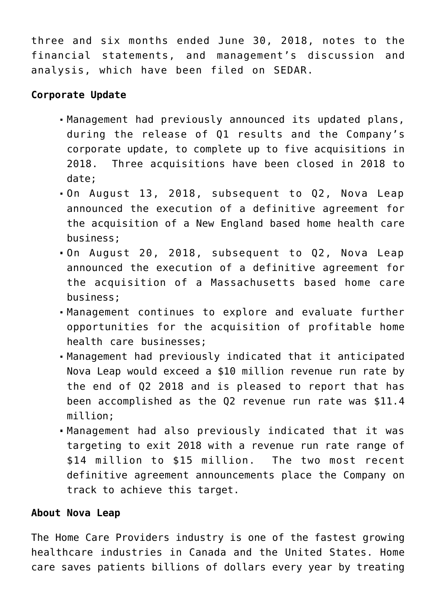three and six months ended June 30, 2018, notes to the financial statements, and management's discussion and analysis, which have been filed on SEDAR.

## **Corporate Update**

- Management had previously announced its updated plans, during the release of Q1 results and the Company's corporate update, to complete up to five acquisitions in 2018. Three acquisitions have been closed in 2018 to date;
- On August 13, 2018, subsequent to Q2, Nova Leap announced the execution of a definitive agreement for the acquisition of a New England based home health care business;
- On August 20, 2018, subsequent to Q2, Nova Leap announced the execution of a definitive agreement for the acquisition of a Massachusetts based home care business;
- Management continues to explore and evaluate further opportunities for the acquisition of profitable home health care businesses;
- Management had previously indicated that it anticipated Nova Leap would exceed a \$10 million revenue run rate by the end of Q2 2018 and is pleased to report that has been accomplished as the Q2 revenue run rate was \$11.4 million;
- Management had also previously indicated that it was targeting to exit 2018 with a revenue run rate range of \$14 million to \$15 million. The two most recent definitive agreement announcements place the Company on track to achieve this target.

## **About Nova Leap**

The Home Care Providers industry is one of the fastest growing healthcare industries in Canada and the United States. Home care saves patients billions of dollars every year by treating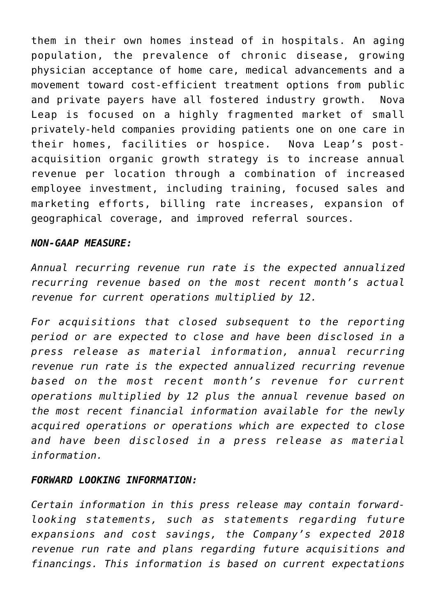them in their own homes instead of in hospitals. An aging population, the prevalence of chronic disease, growing physician acceptance of home care, medical advancements and a movement toward cost-efficient treatment options from public and private payers have all fostered industry growth. Nova Leap is focused on a highly fragmented market of small privately-held companies providing patients one on one care in their homes, facilities or hospice. Nova Leap's postacquisition organic growth strategy is to increase annual revenue per location through a combination of increased employee investment, including training, focused sales and marketing efforts, billing rate increases, expansion of geographical coverage, and improved referral sources.

#### *NON-GAAP MEASURE:*

*Annual recurring revenue run rate is the expected annualized recurring revenue based on the most recent month's actual revenue for current operations multiplied by 12.* 

*For acquisitions that closed subsequent to the reporting period or are expected to close and have been disclosed in a press release as material information, annual recurring revenue run rate is the expected annualized recurring revenue based on the most recent month's revenue for current operations multiplied by 12 plus the annual revenue based on the most recent financial information available for the newly acquired operations or operations which are expected to close and have been disclosed in a press release as material information.*

#### *FORWARD LOOKING INFORMATION:*

*Certain information in this press release may contain forwardlooking statements, such as statements regarding future expansions and cost savings, the Company's expected 2018 revenue run rate and plans regarding future acquisitions and financings. This information is based on current expectations*